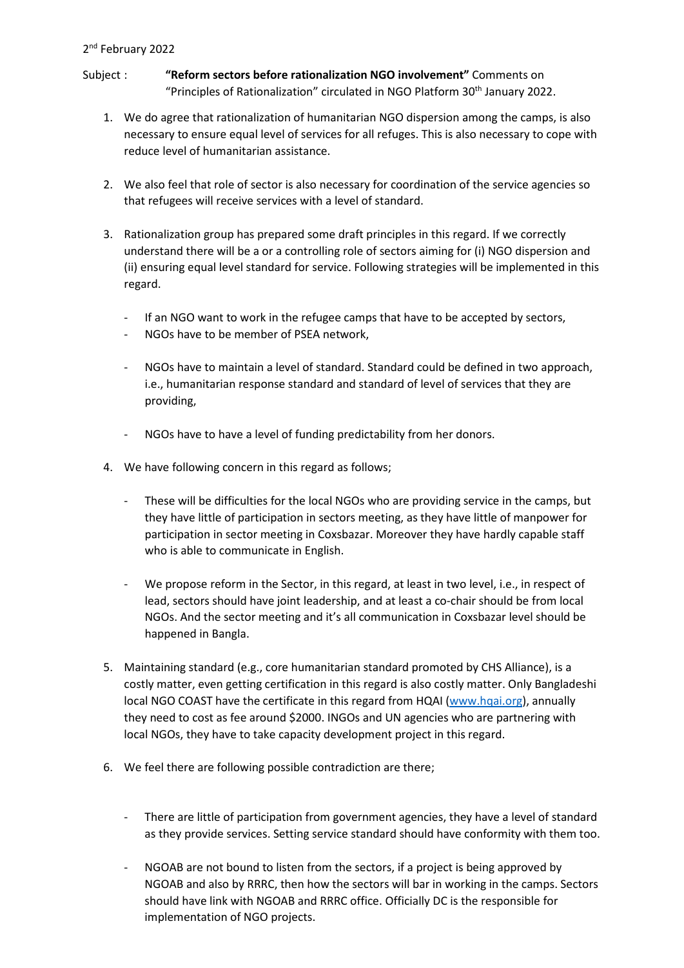## 2<sup>nd</sup> February 2022

- Subject : **"Reform sectors before rationalization NGO involvement"** Comments on "Principles of Rationalization" circulated in NGO Platform 30<sup>th</sup> January 2022.
	- 1. We do agree that rationalization of humanitarian NGO dispersion among the camps, is also necessary to ensure equal level of services for all refuges. This is also necessary to cope with reduce level of humanitarian assistance.
	- 2. We also feel that role of sector is also necessary for coordination of the service agencies so that refugees will receive services with a level of standard.
	- 3. Rationalization group has prepared some draft principles in this regard. If we correctly understand there will be a or a controlling role of sectors aiming for (i) NGO dispersion and (ii) ensuring equal level standard for service. Following strategies will be implemented in this regard.
		- If an NGO want to work in the refugee camps that have to be accepted by sectors,
		- NGOs have to be member of PSEA network.
		- NGOs have to maintain a level of standard. Standard could be defined in two approach, i.e., humanitarian response standard and standard of level of services that they are providing,
		- NGOs have to have a level of funding predictability from her donors.
	- 4. We have following concern in this regard as follows;
		- These will be difficulties for the local NGOs who are providing service in the camps, but they have little of participation in sectors meeting, as they have little of manpower for participation in sector meeting in Coxsbazar. Moreover they have hardly capable staff who is able to communicate in English.
		- We propose reform in the Sector, in this regard, at least in two level, i.e., in respect of lead, sectors should have joint leadership, and at least a co-chair should be from local NGOs. And the sector meeting and it's all communication in Coxsbazar level should be happened in Bangla.
	- 5. Maintaining standard (e.g., core humanitarian standard promoted by CHS Alliance), is a costly matter, even getting certification in this regard is also costly matter. Only Bangladeshi local NGO COAST have the certificate in this regard from HQAI [\(www.hqai.org\)](http://www.hqai.org/), annually they need to cost as fee around \$2000. INGOs and UN agencies who are partnering with local NGOs, they have to take capacity development project in this regard.
	- 6. We feel there are following possible contradiction are there;
		- There are little of participation from government agencies, they have a level of standard as they provide services. Setting service standard should have conformity with them too.
		- NGOAB are not bound to listen from the sectors, if a project is being approved by NGOAB and also by RRRC, then how the sectors will bar in working in the camps. Sectors should have link with NGOAB and RRRC office. Officially DC is the responsible for implementation of NGO projects.